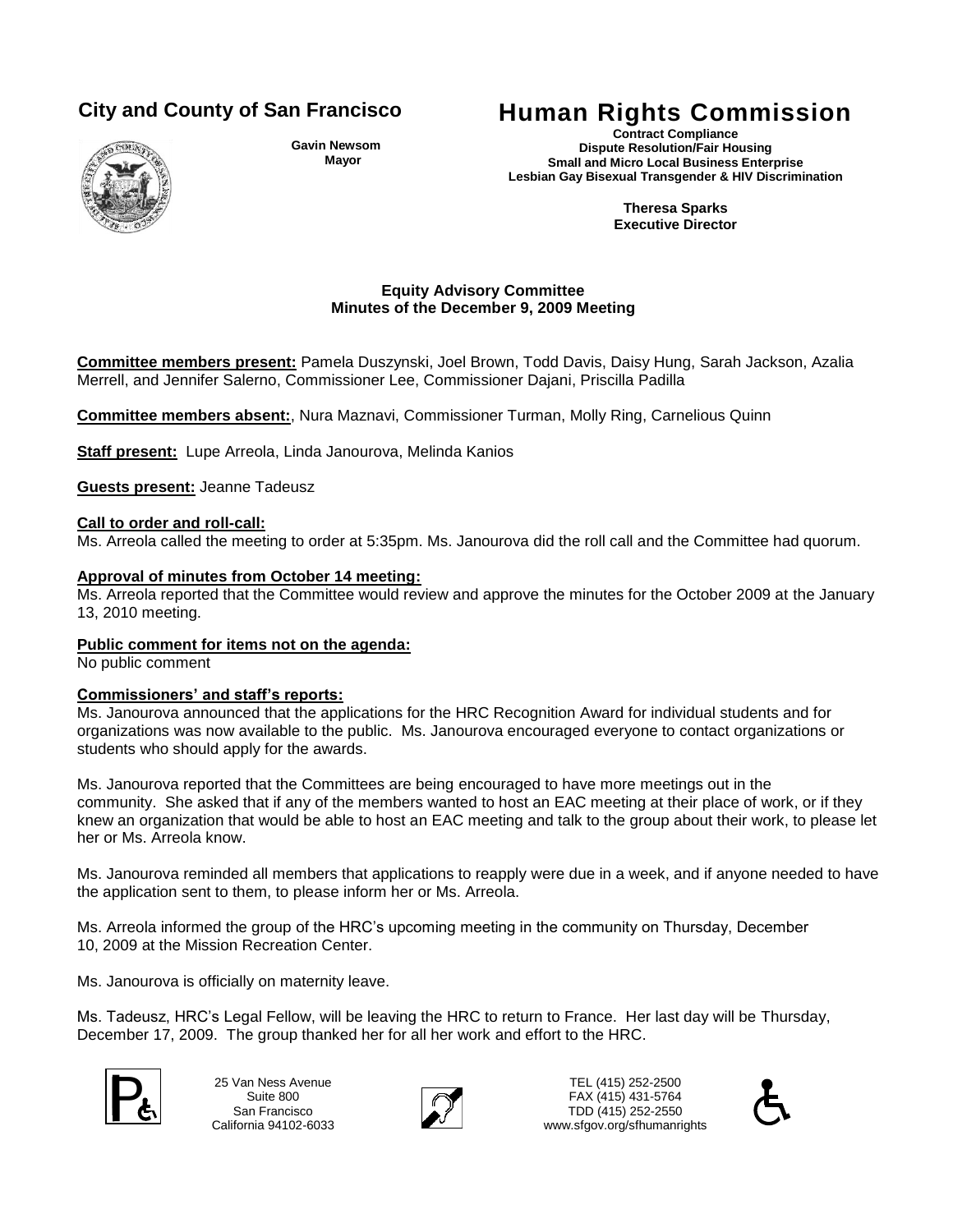

**Gavin Newsom Mayor**

# **City and County of San Francisco Human Rights Commission**

**Contract Compliance Dispute Resolution/Fair Housing Small and Micro Local Business Enterprise Lesbian Gay Bisexual Transgender & HIV Discrimination**

> **Theresa Sparks Executive Director**

# **Equity Advisory Committee Minutes of the December 9, 2009 Meeting**

**Committee members present:** Pamela Duszynski, Joel Brown, Todd Davis, Daisy Hung, Sarah Jackson, Azalia Merrell, and Jennifer Salerno, Commissioner Lee, Commissioner Dajani, Priscilla Padilla

**Committee members absent:**, Nura Maznavi, Commissioner Turman, Molly Ring, Carnelious Quinn

**Staff present:** Lupe Arreola, Linda Janourova, Melinda Kanios

**Guests present:** Jeanne Tadeusz

### **Call to order and roll-call:**

Ms. Arreola called the meeting to order at 5:35pm. Ms. Janourova did the roll call and the Committee had quorum.

### **Approval of minutes from October 14 meeting:**

Ms. Arreola reported that the Committee would review and approve the minutes for the October 2009 at the January 13, 2010 meeting.

# **Public comment for items not on the agenda:**

No public comment

# **Commissioners' and staff's reports:**

Ms. Janourova announced that the applications for the HRC Recognition Award for individual students and for organizations was now available to the public. Ms. Janourova encouraged everyone to contact organizations or students who should apply for the awards.

Ms. Janourova reported that the Committees are being encouraged to have more meetings out in the community. She asked that if any of the members wanted to host an EAC meeting at their place of work, or if they knew an organization that would be able to host an EAC meeting and talk to the group about their work, to please let her or Ms. Arreola know.

Ms. Janourova reminded all members that applications to reapply were due in a week, and if anyone needed to have the application sent to them, to please inform her or Ms. Arreola.

Ms. Arreola informed the group of the HRC's upcoming meeting in the community on Thursday, December 10, 2009 at the Mission Recreation Center.

Ms. Janourova is officially on maternity leave.

Ms. Tadeusz, HRC's Legal Fellow, will be leaving the HRC to return to France. Her last day will be Thursday, December 17, 2009. The group thanked her for all her work and effort to the HRC.



25 Van Ness Avenue Suite 800 San Francisco California 94102-6033



TEL (415) 252-2500 FAX (415) 431-5764 25 Van Ness Avenue<br>
Suite 800<br>
San Francisco<br>
Collisteria 94102.6033<br>
Collisteria 94102.6033 www.sfgov.org/sfhumanrights